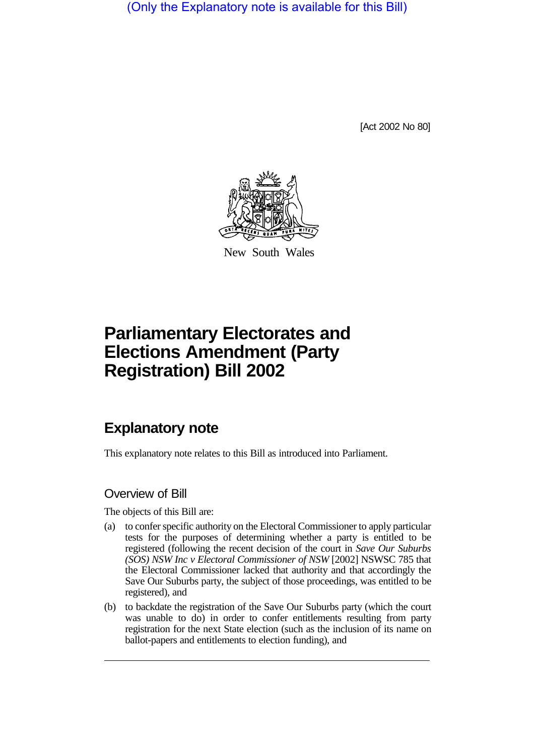(Only the Explanatory note is available for this Bill)

[Act 2002 No 80]



New South Wales

## **Parliamentary Electorates and Elections Amendment (Party Registration) Bill 2002**

## **Explanatory note**

This explanatory note relates to this Bill as introduced into Parliament.

## Overview of Bill

The objects of this Bill are:

- (a) to confer specific authority on the Electoral Commissioner to apply particular tests for the purposes of determining whether a party is entitled to be registered (following the recent decision of the court in *Save Our Suburbs (SOS) NSW Inc v Electoral Commissioner of NSW* [2002] NSWSC 785 that the Electoral Commissioner lacked that authority and that accordingly the Save Our Suburbs party, the subject of those proceedings, was entitled to be registered), and
- (b) to backdate the registration of the Save Our Suburbs party (which the court was unable to do) in order to confer entitlements resulting from party registration for the next State election (such as the inclusion of its name on ballot-papers and entitlements to election funding), and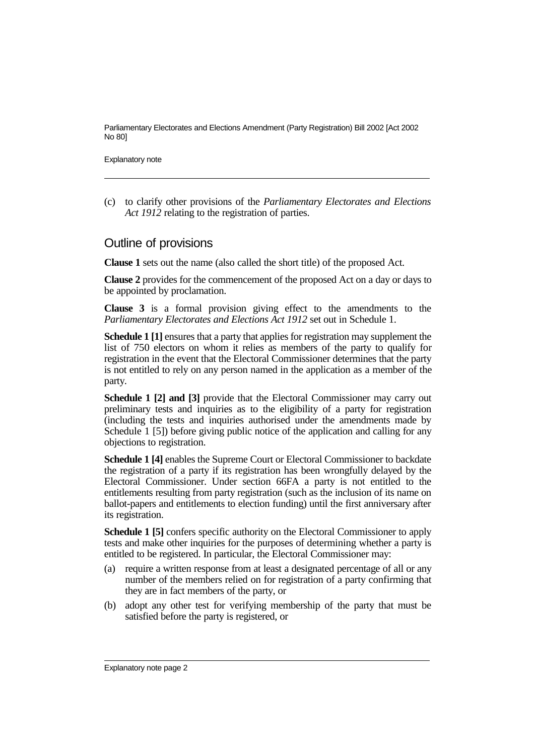Parliamentary Electorates and Elections Amendment (Party Registration) Bill 2002 [Act 2002 No 80]

Explanatory note

(c) to clarify other provisions of the *Parliamentary Electorates and Elections Act 1912* relating to the registration of parties.

## Outline of provisions

**Clause 1** sets out the name (also called the short title) of the proposed Act.

**Clause 2** provides for the commencement of the proposed Act on a day or days to be appointed by proclamation.

**Clause 3** is a formal provision giving effect to the amendments to the *Parliamentary Electorates and Elections Act 1912* set out in Schedule 1.

**Schedule 1 [1]** ensures that a party that applies for registration may supplement the list of 750 electors on whom it relies as members of the party to qualify for registration in the event that the Electoral Commissioner determines that the party is not entitled to rely on any person named in the application as a member of the party.

**Schedule 1 [2] and [3]** provide that the Electoral Commissioner may carry out preliminary tests and inquiries as to the eligibility of a party for registration (including the tests and inquiries authorised under the amendments made by Schedule 1 [5]) before giving public notice of the application and calling for any objections to registration.

**Schedule 1 [4]** enables the Supreme Court or Electoral Commissioner to backdate the registration of a party if its registration has been wrongfully delayed by the Electoral Commissioner. Under section 66FA a party is not entitled to the entitlements resulting from party registration (such as the inclusion of its name on ballot-papers and entitlements to election funding) until the first anniversary after its registration.

**Schedule 1 [5]** confers specific authority on the Electoral Commissioner to apply tests and make other inquiries for the purposes of determining whether a party is entitled to be registered. In particular, the Electoral Commissioner may:

- (a) require a written response from at least a designated percentage of all or any number of the members relied on for registration of a party confirming that they are in fact members of the party, or
- (b) adopt any other test for verifying membership of the party that must be satisfied before the party is registered, or